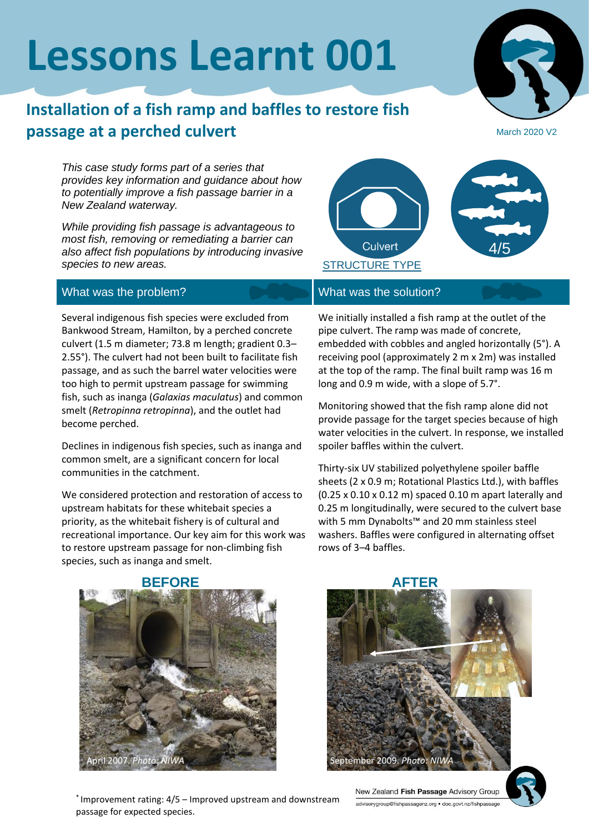# **Lessons Learnt 001**

## **Installation of a fish ramp and baffles to restore fish passage at a perched culvert**

March 2020 V2

*This case study forms part of a series that provides key information and guidance about how to potentially improve a fish passage barrier in a New Zealand waterway.*

*While providing fish passage is advantageous to most fish, removing or remediating a barrier can also affect fish populations by introducing invasive species to new areas.*



#### What was the problem? What was the solution?

Several indigenous fish species were excluded from Bankwood Stream, Hamilton, by a perched concrete culvert (1.5 m diameter; 73.8 m length; gradient 0.3– 2.55°). The culvert had not been built to facilitate fish passage, and as such the barrel water velocities were too high to permit upstream passage for swimming fish, such as inanga (*Galaxias maculatus*) and common smelt (*Retropinna retropinna*), and the outlet had become perched.

Declines in indigenous fish species, such as inanga and common smelt, are a significant concern for local communities in the catchment.

We considered protection and restoration of access to upstream habitats for these whitebait species a priority, as the whitebait fishery is of cultural and recreational importance. Our key aim for this work was to restore upstream passage for non-climbing fish species, such as inanga and smelt.

We initially installed a fish ramp at the outlet of the pipe culvert. The ramp was made of concrete, embedded with cobbles and angled horizontally (5°). A receiving pool (approximately 2 m x 2m) was installed at the top of the ramp. The final built ramp was 16 m long and 0.9 m wide, with a slope of 5.7°.

Monitoring showed that the fish ramp alone did not provide passage for the target species because of high water velocities in the culvert. In response, we installed spoiler baffles within the culvert.

Thirty-six UV stabilized polyethylene spoiler baffle sheets (2 x 0.9 m; Rotational Plastics Ltd.), with baffles (0.25 x 0.10 x 0.12 m) spaced 0.10 m apart laterally and 0.25 m longitudinally, were secured to the culvert base with 5 mm Dynabolts™ and 20 mm stainless steel washers. Baffles were configured in alternating offset rows of 3–4 baffles.





New Zealand Fish Passage Advisory Group advisorygroup@fishpassagenz.org · doc.govt.nz/fishpassag



\* Improvement rating: 4/5 – Improved upstream and downstream passage for expected species.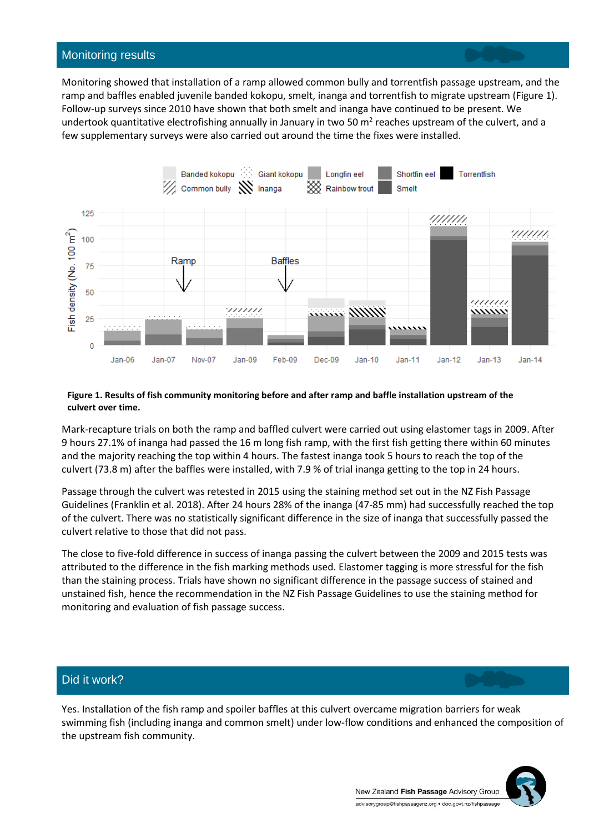#### Monitoring results

Monitoring showed that installation of a ramp allowed common bully and torrentfish passage upstream, and the ramp and baffles enabled juvenile banded kokopu, smelt, inanga and torrentfish to migrate upstream (Figure 1). Follow-up surveys since 2010 have shown that both smelt and inanga have continued to be present. We undertook quantitative electrofishing annually in January in two 50  $m^2$  reaches upstream of the culvert, and a few supplementary surveys were also carried out around the time the fixes were installed.



#### **Figure 1. Results of fish community monitoring before and after ramp and baffle installation upstream of the culvert over time.**

Mark-recapture trials on both the ramp and baffled culvert were carried out using elastomer tags in 2009. After 9 hours 27.1% of inanga had passed the 16 m long fish ramp, with the first fish getting there within 60 minutes and the majority reaching the top within 4 hours. The fastest inanga took 5 hours to reach the top of the culvert (73.8 m) after the baffles were installed, with 7.9 % of trial inanga getting to the top in 24 hours.

Passage through the culvert was retested in 2015 using the staining method set out in the NZ Fish Passage Guidelines (Franklin et al. 2018). After 24 hours 28% of the inanga (47-85 mm) had successfully reached the top of the culvert. There was no statistically significant difference in the size of inanga that successfully passed the culvert relative to those that did not pass.

The close to five-fold difference in success of inanga passing the culvert between the 2009 and 2015 tests was attributed to the difference in the fish marking methods used. Elastomer tagging is more stressful for the fish than the staining process. Trials have shown no significant difference in the passage success of stained and unstained fish, hence the recommendation in the NZ Fish Passage Guidelines to use the staining method for monitoring and evaluation of fish passage success.

### Did it work?

Yes. Installation of the fish ramp and spoiler baffles at this culvert overcame migration barriers for weak swimming fish (including inanga and common smelt) under low-flow conditions and enhanced the composition of the upstream fish community.